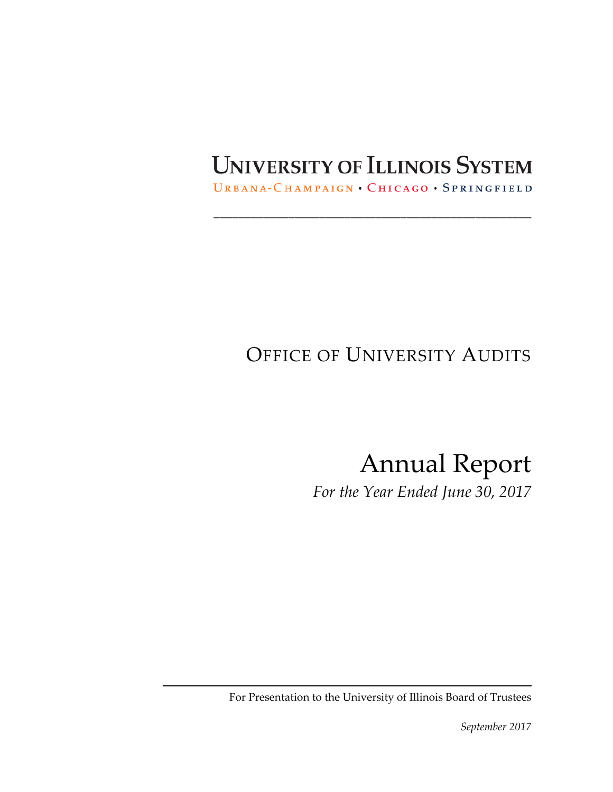# UNIVERSITY OF ILLINOIS SYSTEM

URBANA-CHAMPAIGN . CHICAGO . SPRINGFIELD

\_\_\_\_\_\_\_\_\_\_\_\_\_\_\_\_\_\_\_\_\_\_\_\_\_\_\_\_\_\_\_\_\_\_\_\_\_\_\_\_\_\_\_\_\_\_\_\_\_\_\_

# OFFICE OF UNIVERSITY AUDITS

Annual Report

*For the Year Ended June 30, 2017*

For Presentation to the University of Illinois Board of Trustees

*September 2017*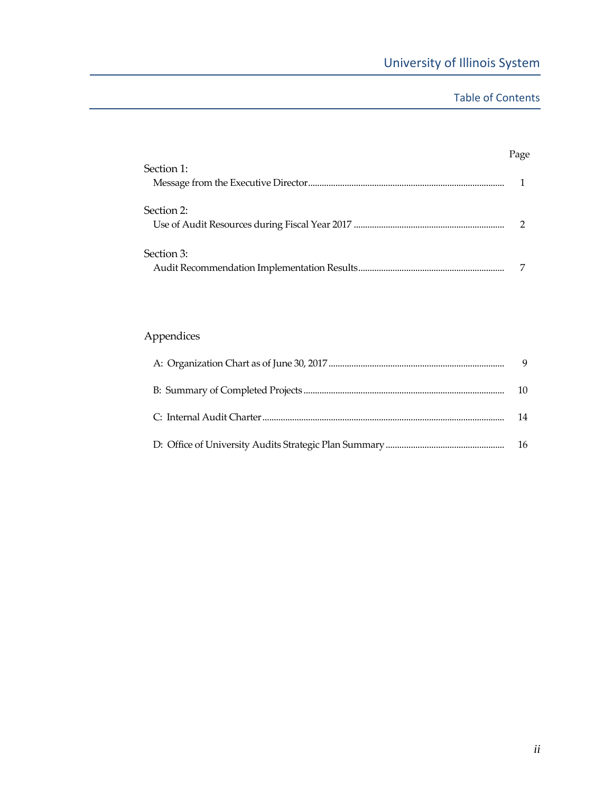## Table of Contents

|            | Page |
|------------|------|
| Section 1: |      |
| Section 2: |      |
| Section 3: |      |

# Appendices

|  | 9   |
|--|-----|
|  | 10  |
|  | 14  |
|  | -16 |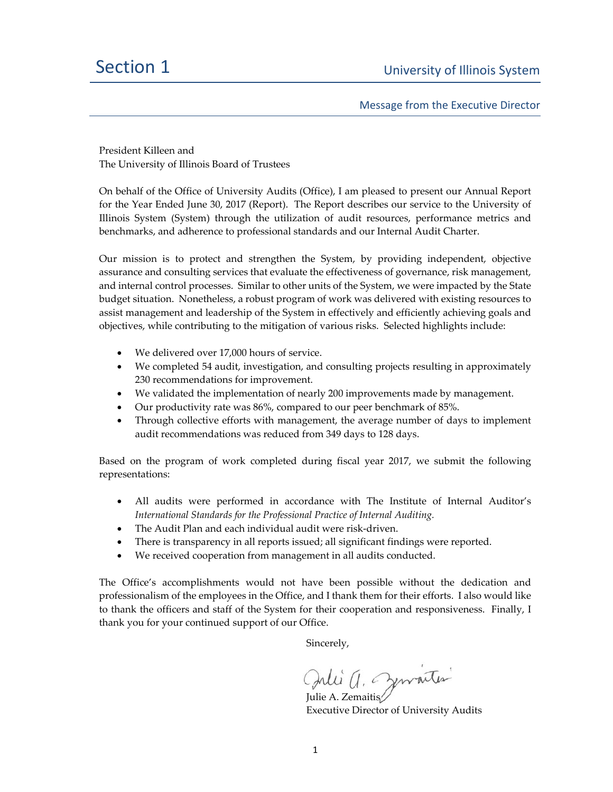Message from the Executive Director

President Killeen and The University of Illinois Board of Trustees

On behalf of the Office of University Audits (Office), I am pleased to present our Annual Report for the Year Ended June 30, 2017 (Report). The Report describes our service to the University of Illinois System (System) through the utilization of audit resources, performance metrics and benchmarks, and adherence to professional standards and our Internal Audit Charter.

Our mission is to protect and strengthen the System, by providing independent, objective assurance and consulting services that evaluate the effectiveness of governance, risk management, and internal control processes. Similar to other units of the System, we were impacted by the State budget situation. Nonetheless, a robust program of work was delivered with existing resources to assist management and leadership of the System in effectively and efficiently achieving goals and objectives, while contributing to the mitigation of various risks. Selected highlights include:

- We delivered over 17,000 hours of service.
- We completed 54 audit, investigation, and consulting projects resulting in approximately 230 recommendations for improvement.
- We validated the implementation of nearly 200 improvements made by management.
- Our productivity rate was 86%, compared to our peer benchmark of 85%.
- Through collective efforts with management, the average number of days to implement audit recommendations was reduced from 349 days to 128 days.

Based on the program of work completed during fiscal year 2017, we submit the following representations:

- All audits were performed in accordance with The Institute of Internal Auditor's *International Standards for the Professional Practice of Internal Auditing.*
- The Audit Plan and each individual audit were risk‐driven.
- There is transparency in all reports issued; all significant findings were reported.
- We received cooperation from management in all audits conducted.

The Office's accomplishments would not have been possible without the dedication and professionalism of the employees in the Office, and I thank them for their efforts. I also would like to thank the officers and staff of the System for their cooperation and responsiveness. Finally, I thank you for your continued support of our Office.

Sincerely,

Julie A. Zemaitis

Executive Director of University Audits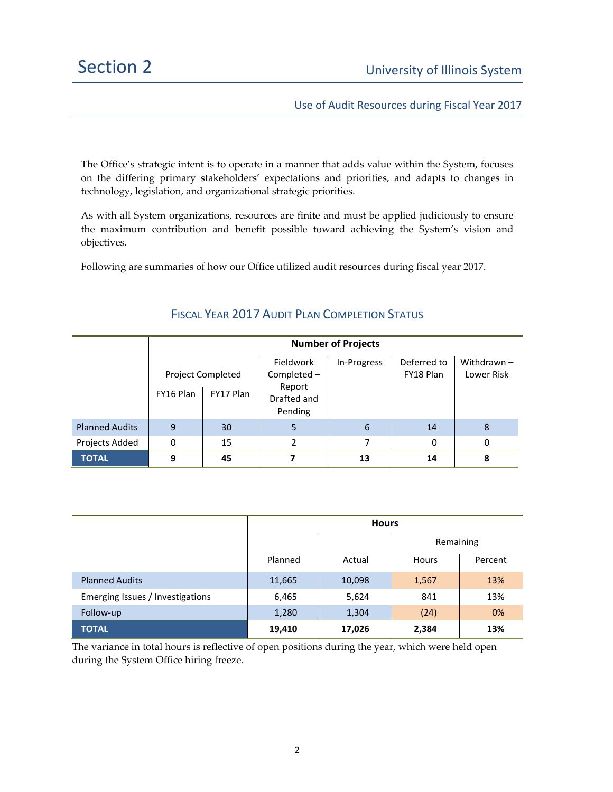Use of Audit Resources during Fiscal Year 2017

The Office's strategic intent is to operate in a manner that adds value within the System, focuses on the differing primary stakeholders' expectations and priorities, and adapts to changes in technology, legislation, and organizational strategic priorities.

As with all System organizations, resources are finite and must be applied judiciously to ensure the maximum contribution and benefit possible toward achieving the System's vision and objectives.

Following are summaries of how our Office utilized audit resources during fiscal year 2017.

|                       | <b>Number of Projects</b> |                                       |                                                              |             |                          |                             |
|-----------------------|---------------------------|---------------------------------------|--------------------------------------------------------------|-------------|--------------------------|-----------------------------|
|                       | FY16 Plan                 | <b>Project Completed</b><br>FY17 Plan | Fieldwork<br>Completed -<br>Report<br>Drafted and<br>Pending | In-Progress | Deferred to<br>FY18 Plan | Withdrawn $-$<br>Lower Risk |
| <b>Planned Audits</b> | 9                         | 30                                    | 5                                                            | 6           | 14                       | 8                           |
| Projects Added        | 0                         | 15                                    | 2                                                            | 7           | 0                        | 0                           |
| <b>TOTAL</b>          | 9                         | 45                                    |                                                              | 13          | 14                       | 8                           |

### FISCAL YEAR 2017 AUDIT PLAN COMPLETION STATUS

|                                  | <b>Hours</b> |        |           |         |  |
|----------------------------------|--------------|--------|-----------|---------|--|
|                                  |              |        | Remaining |         |  |
|                                  | Planned      | Actual | Hours     | Percent |  |
| <b>Planned Audits</b>            | 11,665       | 10,098 | 1,567     | 13%     |  |
| Emerging Issues / Investigations | 6,465        | 5,624  | 841       | 13%     |  |
| Follow-up                        | 1,280        | 1,304  | (24)      | 0%      |  |
| <b>TOTAL</b>                     | 19,410       | 17,026 | 2,384     | 13%     |  |

The variance in total hours is reflective of open positions during the year, which were held open during the System Office hiring freeze.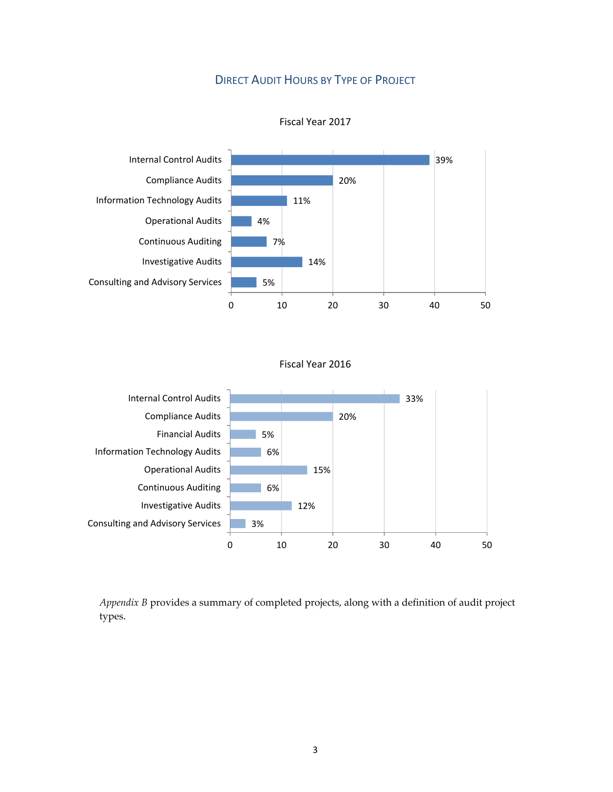# DIRECT AUDIT HOURS BY TYPE OF PROJECT



Fiscal Year 2017

#### Fiscal Year 2016



*Appendix B* provides a summary of completed projects, along with a definition of audit project types.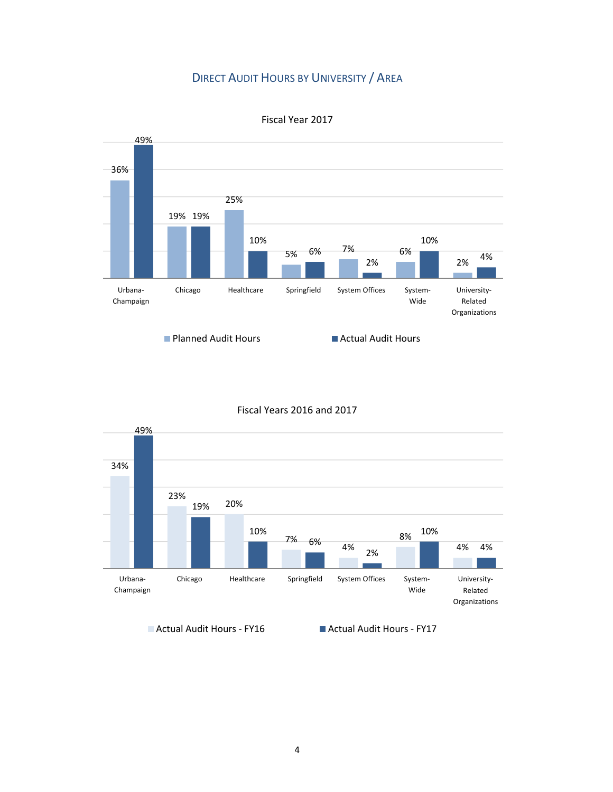## DIRECT AUDIT HOURS BY UNIVERSITY / AREA



Fiscal Year 2017

#### Fiscal Years 2016 and 2017



■ Actual Audit Hours - FY16 Actual Audit Hours - FY17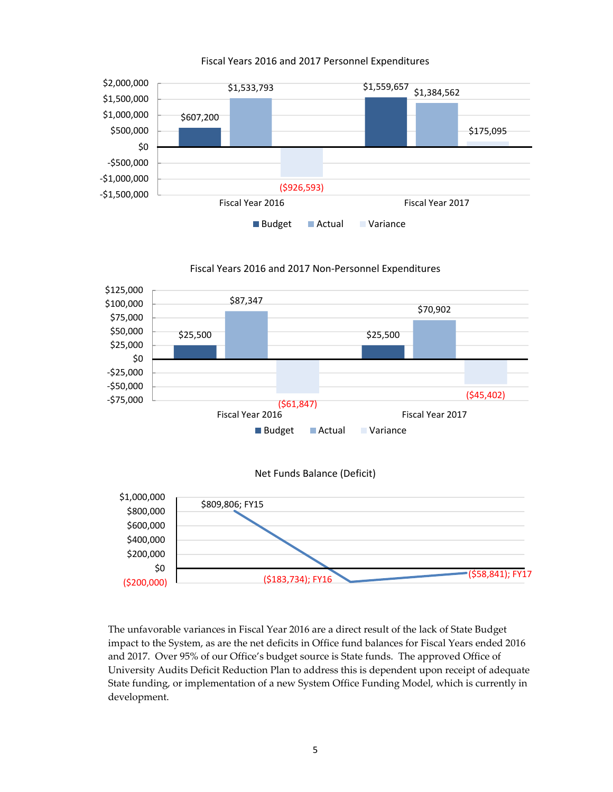

#### Fiscal Years 2016 and 2017 Personnel Expenditures



The unfavorable variances in Fiscal Year 2016 are a direct result of the lack of State Budget impact to the System, as are the net deficits in Office fund balances for Fiscal Years ended 2016 and 2017. Over 95% of our Office's budget source is State funds. The approved Office of University Audits Deficit Reduction Plan to address this is dependent upon receipt of adequate State funding, or implementation of a new System Office Funding Model, which is currently in development.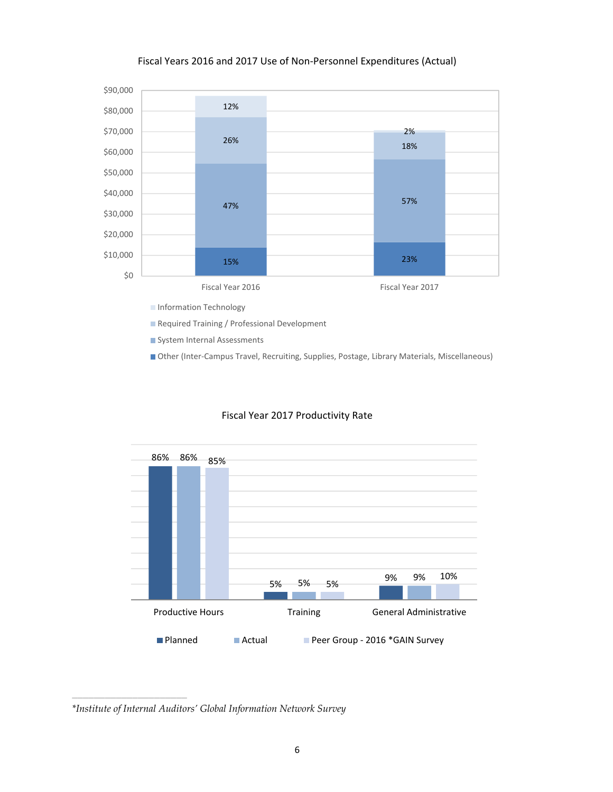#### Fiscal Years 2016 and 2017 Use of Non‐Personnel Expenditures (Actual)



System Internal Assessments

■ Other (Inter-Campus Travel, Recruiting, Supplies, Postage, Library Materials, Miscellaneous)



#### Fiscal Year 2017 Productivity Rate

*\*Institute of Internal Auditors' Global Information Network Survey*

 $\frac{1}{2}$  ,  $\frac{1}{2}$  ,  $\frac{1}{2}$  ,  $\frac{1}{2}$  ,  $\frac{1}{2}$  ,  $\frac{1}{2}$  ,  $\frac{1}{2}$  ,  $\frac{1}{2}$  ,  $\frac{1}{2}$  ,  $\frac{1}{2}$  ,  $\frac{1}{2}$  ,  $\frac{1}{2}$  ,  $\frac{1}{2}$  ,  $\frac{1}{2}$  ,  $\frac{1}{2}$  ,  $\frac{1}{2}$  ,  $\frac{1}{2}$  ,  $\frac{1}{2}$  ,  $\frac{1$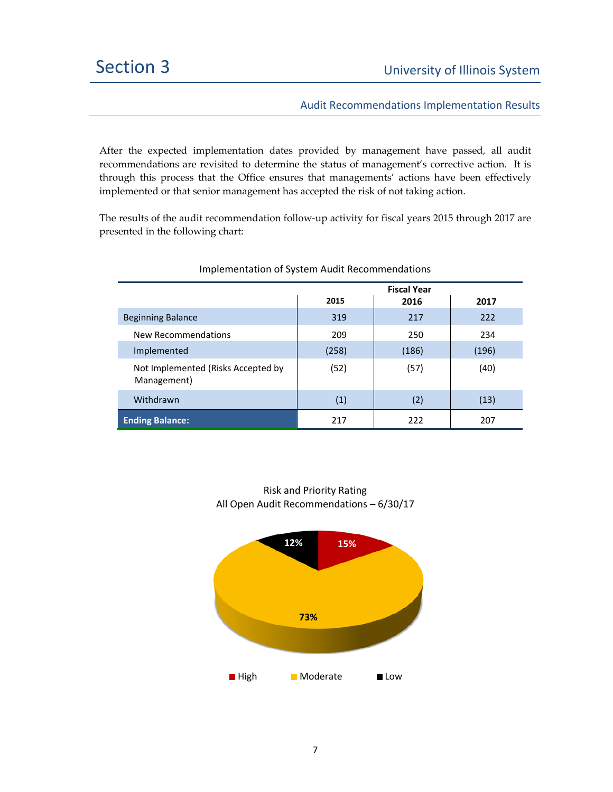Audit Recommendations Implementation Results

After the expected implementation dates provided by management have passed, all audit recommendations are revisited to determine the status of management's corrective action. It is through this process that the Office ensures that managements' actions have been effectively implemented or that senior management has accepted the risk of not taking action.

The results of the audit recommendation follow‐up activity for fiscal years 2015 through 2017 are presented in the following chart:

|                                                   | <b>Fiscal Year</b> |       |       |
|---------------------------------------------------|--------------------|-------|-------|
|                                                   | 2015               | 2016  | 2017  |
| <b>Beginning Balance</b>                          | 319                | 217   | 222   |
| New Recommendations                               | 209                | 250   | 234   |
| Implemented                                       | (258)              | (186) | (196) |
| Not Implemented (Risks Accepted by<br>Management) | (52)               | (57)  | (40)  |
| Withdrawn                                         | (1)                | (2)   | (13)  |
| <b>Ending Balance:</b>                            | 217                | 222   | 207   |

#### Implementation of System Audit Recommendations

Risk and Priority Rating All Open Audit Recommendations – 6/30/17

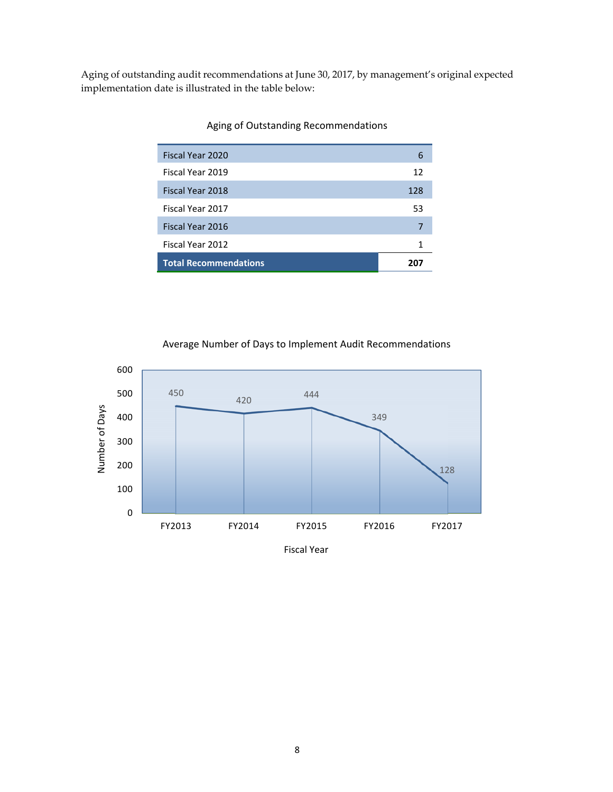Aging of outstanding audit recommendations at June 30, 2017, by management's original expected implementation date is illustrated in the table below:

| Fiscal Year 2020             | 6   |
|------------------------------|-----|
| Fiscal Year 2019             | 12  |
| Fiscal Year 2018             | 128 |
| Fiscal Year 2017             | 53  |
| Fiscal Year 2016             | 7   |
| Fiscal Year 2012             | 1   |
| <b>Total Recommendations</b> |     |

#### Aging of Outstanding Recommendations





Fiscal Year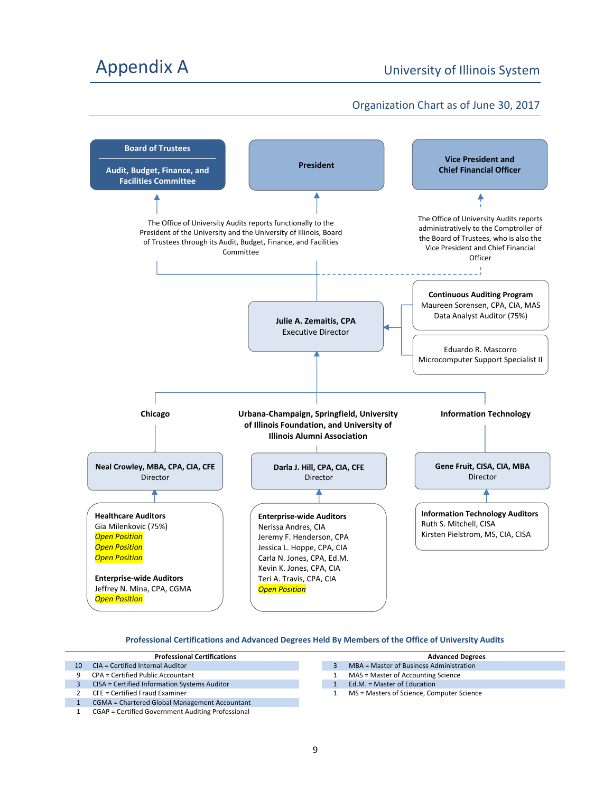# Appendix A Contract Contract Contract Contract Contract Contract Contract Contract Contract Contract Contract Contract Contract Contract Contract Contract Contract Contract Contract Contract Contract Contract Contract Cont

### Organization Chart as of June 30, 2017



#### **Professional Certifications and Advanced Degrees Held By Members of the Office of University Audits**

|    | <b>Professional Certifications</b>                   |  | <b>Advanced Degrees</b>                   |
|----|------------------------------------------------------|--|-------------------------------------------|
| 10 | CIA = Certified Internal Auditor                     |  | MBA = Master of Business Administration   |
| 9  | CPA = Certified Public Accountant                    |  | MAS = Master of Accounting Science        |
|    | CISA = Certified Information Systems Auditor         |  | Ed.M. = Master of Education               |
|    | CFE = Certified Fraud Examiner                       |  | MS = Masters of Science, Computer Science |
|    | <b>CGMA = Chartered Global Management Accountant</b> |  |                                           |
|    | CGAP = Certified Government Auditing Professional    |  |                                           |

| Advanced Degrees                        |
|-----------------------------------------|
| MBA = Master of Business Administration |
| MAS = Master of Accounting Science      |
|                                         |

- 1 Ed.M. = Master of Education
	- 1 MS = Masters of Science, Computer Science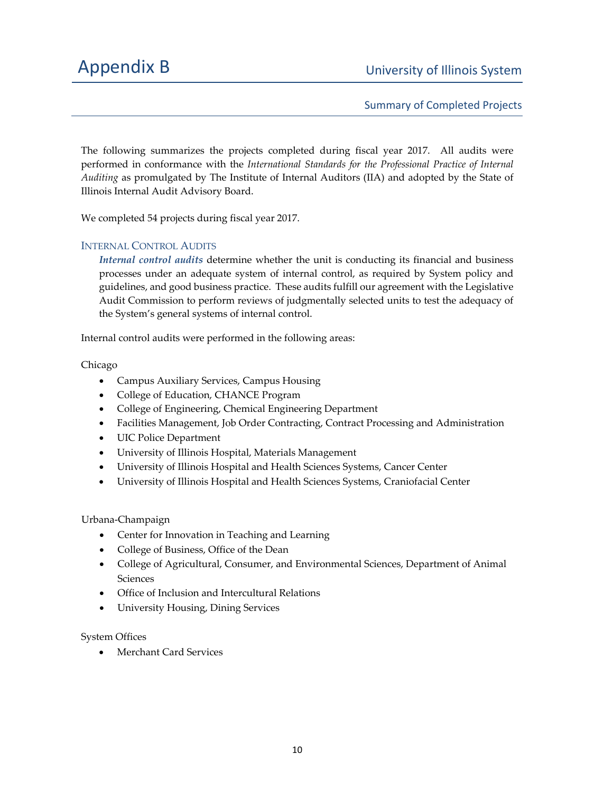Summary of Completed Projects

The following summarizes the projects completed during fiscal year 2017. All audits were performed in conformance with the *International Standards for the Professional Practice of Internal Auditing* as promulgated by The Institute of Internal Auditors (IIA) and adopted by the State of Illinois Internal Audit Advisory Board.

We completed 54 projects during fiscal year 2017.

#### INTERNAL CONTROL AUDITS

*Internal control audits* determine whether the unit is conducting its financial and business processes under an adequate system of internal control, as required by System policy and guidelines, and good business practice. These audits fulfill our agreement with the Legislative Audit Commission to perform reviews of judgmentally selected units to test the adequacy of the System's general systems of internal control.

Internal control audits were performed in the following areas:

Chicago

- Campus Auxiliary Services, Campus Housing
- College of Education, CHANCE Program
- College of Engineering, Chemical Engineering Department
- Facilities Management, Job Order Contracting, Contract Processing and Administration
- UIC Police Department
- University of Illinois Hospital, Materials Management
- University of Illinois Hospital and Health Sciences Systems, Cancer Center
- University of Illinois Hospital and Health Sciences Systems, Craniofacial Center

Urbana‐Champaign

- Center for Innovation in Teaching and Learning
- College of Business, Office of the Dean
- College of Agricultural, Consumer, and Environmental Sciences, Department of Animal Sciences
- Office of Inclusion and Intercultural Relations
- University Housing, Dining Services

System Offices

Merchant Card Services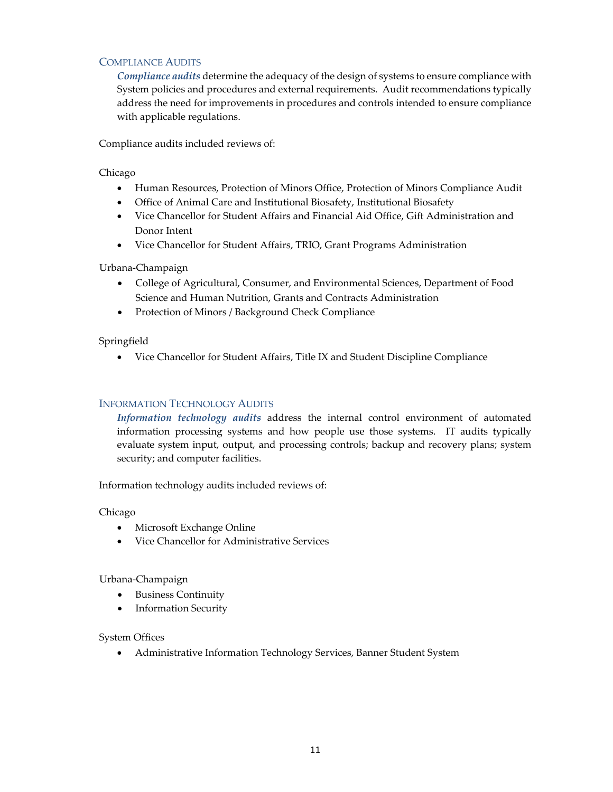#### COMPLIANCE AUDITS

*Compliance audits* determine the adequacy of the design of systems to ensure compliance with System policies and procedures and external requirements. Audit recommendations typically address the need for improvements in procedures and controls intended to ensure compliance with applicable regulations.

Compliance audits included reviews of:

#### Chicago

- Human Resources, Protection of Minors Office, Protection of Minors Compliance Audit
- Office of Animal Care and Institutional Biosafety, Institutional Biosafety
- Vice Chancellor for Student Affairs and Financial Aid Office, Gift Administration and Donor Intent
- Vice Chancellor for Student Affairs, TRIO, Grant Programs Administration

#### Urbana‐Champaign

- College of Agricultural, Consumer, and Environmental Sciences, Department of Food Science and Human Nutrition, Grants and Contracts Administration
- Protection of Minors / Background Check Compliance

#### Springfield

Vice Chancellor for Student Affairs, Title IX and Student Discipline Compliance

#### INFORMATION TECHNOLOGY AUDITS

*Information technology audits* address the internal control environment of automated information processing systems and how people use those systems. IT audits typically evaluate system input, output, and processing controls; backup and recovery plans; system security; and computer facilities.

Information technology audits included reviews of:

#### Chicago

- Microsoft Exchange Online
- Vice Chancellor for Administrative Services

#### Urbana‐Champaign

- Business Continuity
- Information Security

#### System Offices

Administrative Information Technology Services, Banner Student System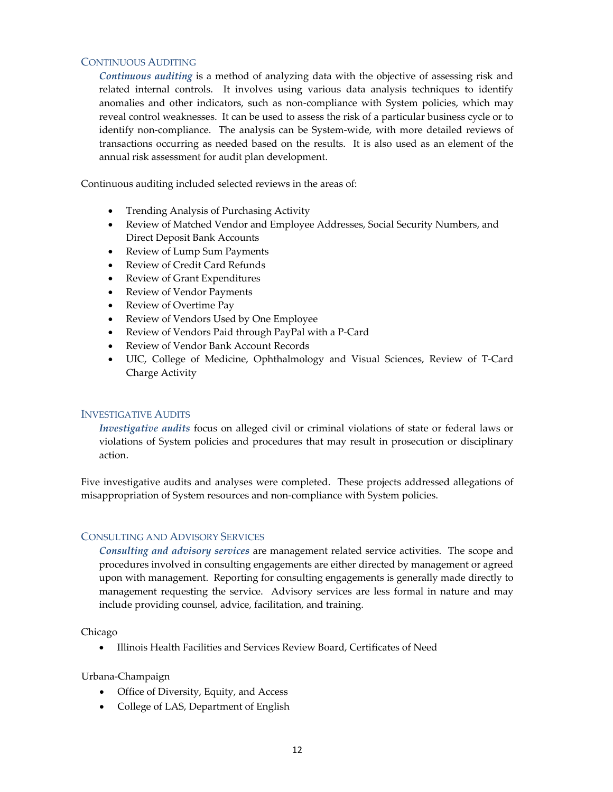#### CONTINUOUS AUDITING

*Continuous auditing* is a method of analyzing data with the objective of assessing risk and related internal controls. It involves using various data analysis techniques to identify anomalies and other indicators, such as non‐compliance with System policies, which may reveal control weaknesses. It can be used to assess the risk of a particular business cycle or to identify non-compliance. The analysis can be System-wide, with more detailed reviews of transactions occurring as needed based on the results. It is also used as an element of the annual risk assessment for audit plan development.

Continuous auditing included selected reviews in the areas of:

- Trending Analysis of Purchasing Activity
- Review of Matched Vendor and Employee Addresses, Social Security Numbers, and Direct Deposit Bank Accounts
- Review of Lump Sum Payments
- Review of Credit Card Refunds
- Review of Grant Expenditures
- Review of Vendor Payments
- Review of Overtime Pay
- Review of Vendors Used by One Employee
- Review of Vendors Paid through PayPal with a P‐Card
- Review of Vendor Bank Account Records
- UIC, College of Medicine, Ophthalmology and Visual Sciences, Review of T‐Card Charge Activity

#### INVESTIGATIVE AUDITS

*Investigative audits* focus on alleged civil or criminal violations of state or federal laws or violations of System policies and procedures that may result in prosecution or disciplinary action.

Five investigative audits and analyses were completed. These projects addressed allegations of misappropriation of System resources and non‐compliance with System policies.

#### CONSULTING AND ADVISORY SERVICES

*Consulting and advisory services* are management related service activities. The scope and procedures involved in consulting engagements are either directed by management or agreed upon with management. Reporting for consulting engagements is generally made directly to management requesting the service. Advisory services are less formal in nature and may include providing counsel, advice, facilitation, and training.

Chicago

Illinois Health Facilities and Services Review Board, Certificates of Need

Urbana‐Champaign

- Office of Diversity, Equity, and Access
- College of LAS, Department of English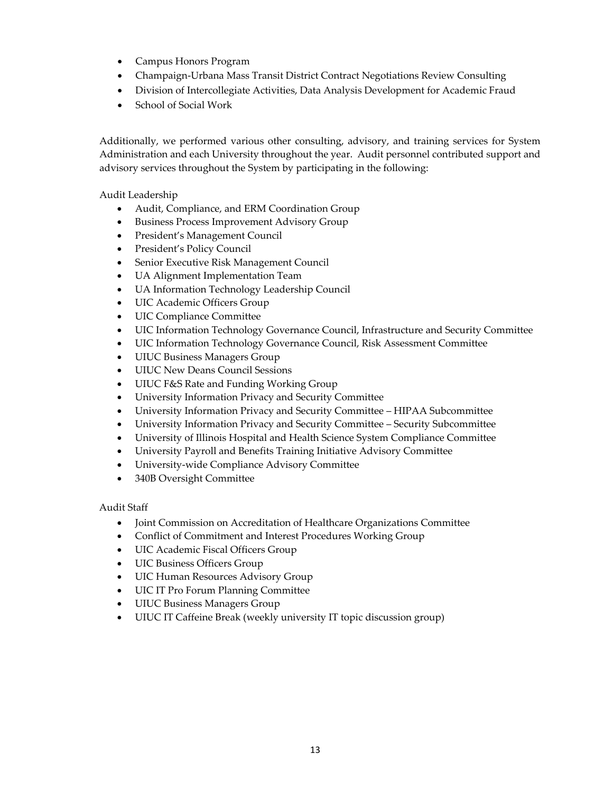- Campus Honors Program
- Champaign‐Urbana Mass Transit District Contract Negotiations Review Consulting
- Division of Intercollegiate Activities, Data Analysis Development for Academic Fraud
- School of Social Work

Additionally, we performed various other consulting, advisory, and training services for System Administration and each University throughout the year. Audit personnel contributed support and advisory services throughout the System by participating in the following:

Audit Leadership

- Audit, Compliance, and ERM Coordination Group
- Business Process Improvement Advisory Group
- President's Management Council
- President's Policy Council
- Senior Executive Risk Management Council
- UA Alignment Implementation Team
- UA Information Technology Leadership Council
- UIC Academic Officers Group
- UIC Compliance Committee
- UIC Information Technology Governance Council, Infrastructure and Security Committee
- UIC Information Technology Governance Council, Risk Assessment Committee
- UIUC Business Managers Group
- UIUC New Deans Council Sessions
- UIUC F&S Rate and Funding Working Group
- University Information Privacy and Security Committee
- University Information Privacy and Security Committee HIPAA Subcommittee
- University Information Privacy and Security Committee Security Subcommittee
- University of Illinois Hospital and Health Science System Compliance Committee
- University Payroll and Benefits Training Initiative Advisory Committee
- University‐wide Compliance Advisory Committee
- 340B Oversight Committee

Audit Staff

- Joint Commission on Accreditation of Healthcare Organizations Committee
- Conflict of Commitment and Interest Procedures Working Group
- UIC Academic Fiscal Officers Group
- UIC Business Officers Group
- UIC Human Resources Advisory Group
- UIC IT Pro Forum Planning Committee
- UIUC Business Managers Group
- UIUC IT Caffeine Break (weekly university IT topic discussion group)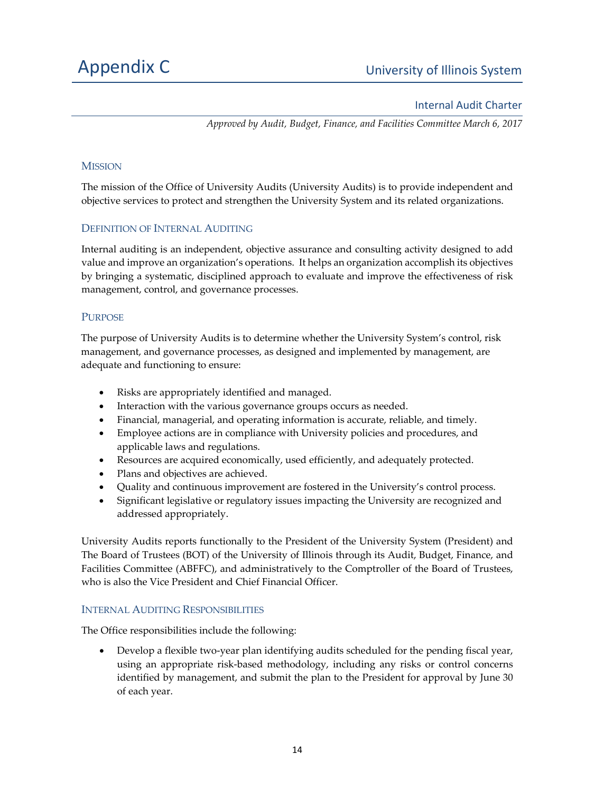#### Internal Audit Charter

*Approved by Audit, Budget, Finance, and Facilities Committee March 6, 2017*

#### **MISSION**

The mission of the Office of University Audits (University Audits) is to provide independent and objective services to protect and strengthen the University System and its related organizations.

#### DEFINITION OF INTERNAL AUDITING

Internal auditing is an independent, objective assurance and consulting activity designed to add value and improve an organization's operations. It helps an organization accomplish its objectives by bringing a systematic, disciplined approach to evaluate and improve the effectiveness of risk management, control, and governance processes.

#### PURPOSE

The purpose of University Audits is to determine whether the University System's control, risk management, and governance processes, as designed and implemented by management, are adequate and functioning to ensure:

- Risks are appropriately identified and managed.
- Interaction with the various governance groups occurs as needed.
- Financial, managerial, and operating information is accurate, reliable, and timely.
- Employee actions are in compliance with University policies and procedures, and applicable laws and regulations.
- Resources are acquired economically, used efficiently, and adequately protected.
- Plans and objectives are achieved.
- Quality and continuous improvement are fostered in the University's control process.
- Significant legislative or regulatory issues impacting the University are recognized and addressed appropriately.

University Audits reports functionally to the President of the University System (President) and The Board of Trustees (BOT) of the University of Illinois through its Audit, Budget, Finance, and Facilities Committee (ABFFC), and administratively to the Comptroller of the Board of Trustees, who is also the Vice President and Chief Financial Officer.

#### INTERNAL AUDITING RESPONSIBILITIES

The Office responsibilities include the following:

● Develop a flexible two-year plan identifying audits scheduled for the pending fiscal year, using an appropriate risk‐based methodology, including any risks or control concerns identified by management, and submit the plan to the President for approval by June 30 of each year.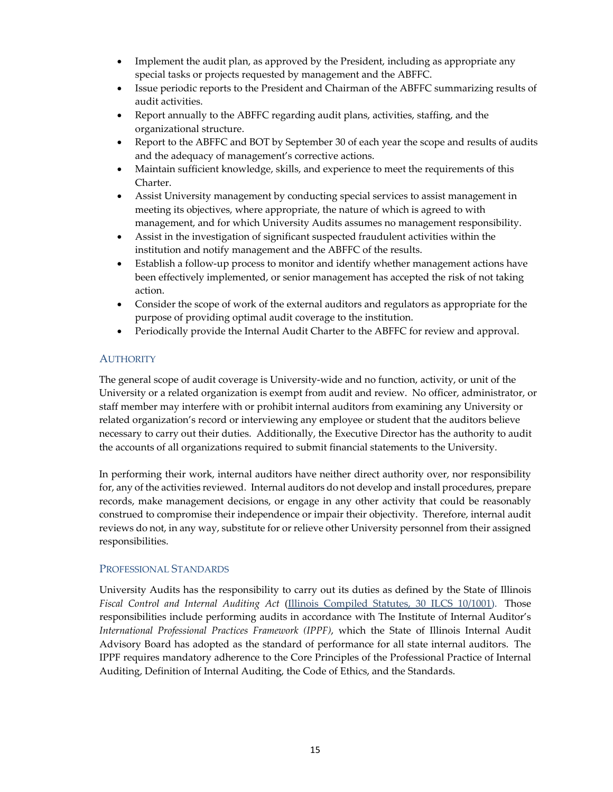- Implement the audit plan, as approved by the President, including as appropriate any special tasks or projects requested by management and the ABFFC.
- Issue periodic reports to the President and Chairman of the ABFFC summarizing results of audit activities.
- Report annually to the ABFFC regarding audit plans, activities, staffing, and the organizational structure.
- Report to the ABFFC and BOT by September 30 of each year the scope and results of audits and the adequacy of management's corrective actions.
- Maintain sufficient knowledge, skills, and experience to meet the requirements of this Charter.
- Assist University management by conducting special services to assist management in meeting its objectives, where appropriate, the nature of which is agreed to with management, and for which University Audits assumes no management responsibility.
- Assist in the investigation of significant suspected fraudulent activities within the institution and notify management and the ABFFC of the results.
- Establish a follow‐up process to monitor and identify whether management actions have been effectively implemented, or senior management has accepted the risk of not taking action.
- Consider the scope of work of the external auditors and regulators as appropriate for the purpose of providing optimal audit coverage to the institution.
- Periodically provide the Internal Audit Charter to the ABFFC for review and approval.

#### **AUTHORITY**

The general scope of audit coverage is University-wide and no function, activity, or unit of the University or a related organization is exempt from audit and review. No officer, administrator, or staff member may interfere with or prohibit internal auditors from examining any University or related organization's record or interviewing any employee or student that the auditors believe necessary to carry out their duties. Additionally, the Executive Director has the authority to audit the accounts of all organizations required to submit financial statements to the University.

In performing their work, internal auditors have neither direct authority over, nor responsibility for, any of the activities reviewed. Internal auditors do not develop and install procedures, prepare records, make management decisions, or engage in any other activity that could be reasonably construed to compromise their independence or impair their objectivity. Therefore, internal audit reviews do not, in any way, substitute for or relieve other University personnel from their assigned responsibilities.

#### PROFESSIONAL STANDARDS

University Audits has the responsibility to carry out its duties as defined by the State of Illinois *Fiscal Control and Internal Auditing Act* (Illinois Compiled Statutes, 30 ILCS 10/1001). Those responsibilities include performing audits in accordance with The Institute of Internal Auditor's *International Professional Practices Framework (IPPF)*, which the State of Illinois Internal Audit Advisory Board has adopted as the standard of performance for all state internal auditors. The IPPF requires mandatory adherence to the Core Principles of the Professional Practice of Internal Auditing, Definition of Internal Auditing, the Code of Ethics, and the Standards.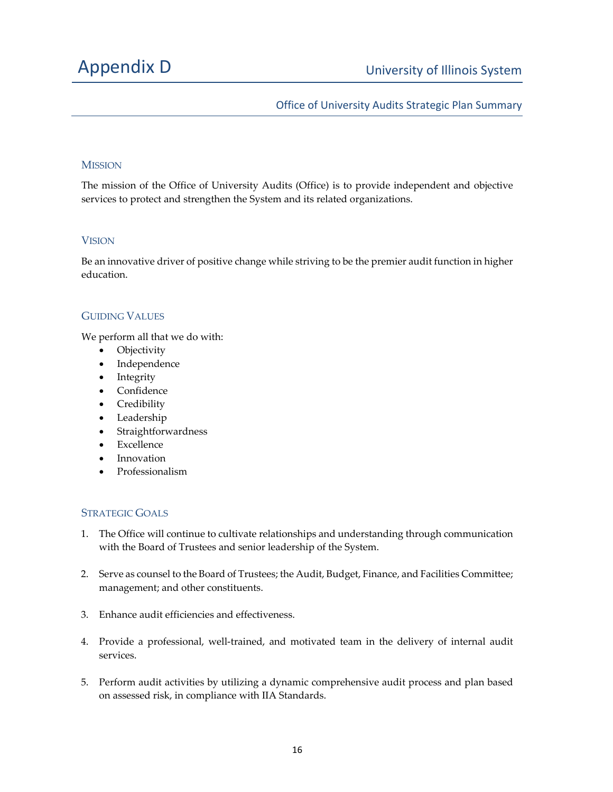### Office of University Audits Strategic Plan Summary

#### MISSION

The mission of the Office of University Audits (Office) is to provide independent and objective services to protect and strengthen the System and its related organizations.

#### **VISION**

Be an innovative driver of positive change while striving to be the premier audit function in higher education.

#### GUIDING VALUES

We perform all that we do with:

- **Objectivity**
- Independence
- Integrity
- Confidence
- Credibility
- Leadership
- Straightforwardness
- Excellence
- Innovation
- Professionalism

#### STRATEGIC GOALS

- 1. The Office will continue to cultivate relationships and understanding through communication with the Board of Trustees and senior leadership of the System.
- 2. Serve as counsel to the Board of Trustees; the Audit, Budget, Finance, and Facilities Committee; management; and other constituents.
- 3. Enhance audit efficiencies and effectiveness.
- 4. Provide a professional, well-trained, and motivated team in the delivery of internal audit services.
- 5. Perform audit activities by utilizing a dynamic comprehensive audit process and plan based on assessed risk, in compliance with IIA Standards.